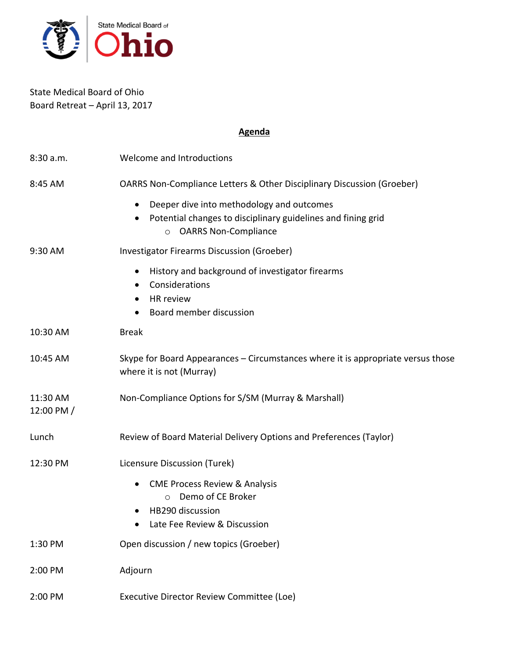

State Medical Board of Ohio Board Retreat – April 13, 2017

# **Agenda**

| 8:30a.m.                 | Welcome and Introductions                                                                                                                           |
|--------------------------|-----------------------------------------------------------------------------------------------------------------------------------------------------|
| 8:45 AM                  | OARRS Non-Compliance Letters & Other Disciplinary Discussion (Groeber)                                                                              |
|                          | Deeper dive into methodology and outcomes<br>Potential changes to disciplinary guidelines and fining grid<br><b>OARRS Non-Compliance</b><br>$\circ$ |
| 9:30 AM                  | <b>Investigator Firearms Discussion (Groeber)</b>                                                                                                   |
|                          | History and background of investigator firearms<br>$\bullet$<br>Considerations<br>$\bullet$<br>HR review<br>Board member discussion                 |
| 10:30 AM                 | <b>Break</b>                                                                                                                                        |
| 10:45 AM                 | Skype for Board Appearances - Circumstances where it is appropriate versus those<br>where it is not (Murray)                                        |
| 11:30 AM<br>12:00 PM $/$ | Non-Compliance Options for S/SM (Murray & Marshall)                                                                                                 |
| Lunch                    | Review of Board Material Delivery Options and Preferences (Taylor)                                                                                  |
| 12:30 PM                 | Licensure Discussion (Turek)                                                                                                                        |
|                          | <b>CME Process Review &amp; Analysis</b><br>$\bullet$<br>Demo of CE Broker<br>$\bigcirc$<br>HB290 discussion<br>Late Fee Review & Discussion        |
| 1:30 PM                  | Open discussion / new topics (Groeber)                                                                                                              |
| 2:00 PM                  | Adjourn                                                                                                                                             |
| 2:00 PM                  | Executive Director Review Committee (Loe)                                                                                                           |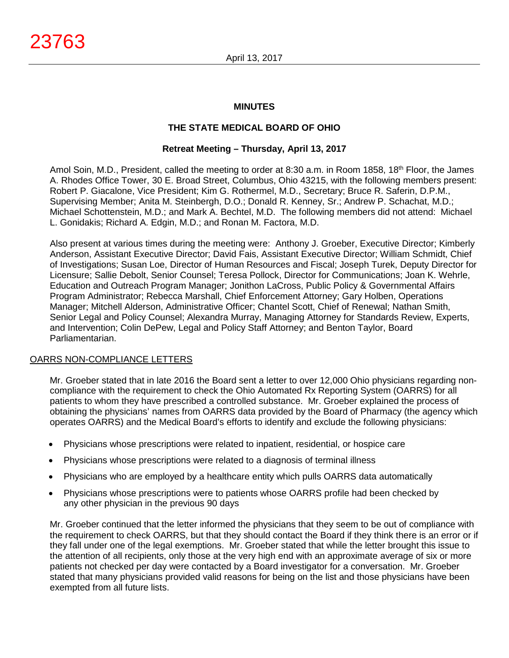## **MINUTES**

# **THE STATE MEDICAL BOARD OF OHIO**

### **Retreat Meeting – Thursday, April 13, 2017**

Amol Soin, M.D., President, called the meeting to order at 8:30 a.m. in Room 1858, 18<sup>th</sup> Floor, the James A. Rhodes Office Tower, 30 E. Broad Street, Columbus, Ohio 43215, with the following members present: Robert P. Giacalone, Vice President; Kim G. Rothermel, M.D., Secretary; Bruce R. Saferin, D.P.M., Supervising Member; Anita M. Steinbergh, D.O.; Donald R. Kenney, Sr.; Andrew P. Schachat, M.D.; Michael Schottenstein, M.D.; and Mark A. Bechtel, M.D. The following members did not attend: Michael L. Gonidakis; Richard A. Edgin, M.D.; and Ronan M. Factora, M.D.

Also present at various times during the meeting were: Anthony J. Groeber, Executive Director; Kimberly Anderson, Assistant Executive Director; David Fais, Assistant Executive Director; William Schmidt, Chief of Investigations; Susan Loe, Director of Human Resources and Fiscal; Joseph Turek, Deputy Director for Licensure; Sallie Debolt, Senior Counsel; Teresa Pollock, Director for Communications; Joan K. Wehrle, Education and Outreach Program Manager; Jonithon LaCross, Public Policy & Governmental Affairs Program Administrator; Rebecca Marshall, Chief Enforcement Attorney; Gary Holben, Operations Manager; Mitchell Alderson, Administrative Officer; Chantel Scott, Chief of Renewal; Nathan Smith, Senior Legal and Policy Counsel; Alexandra Murray, Managing Attorney for Standards Review, Experts, and Intervention; Colin DePew, Legal and Policy Staff Attorney; and Benton Taylor, Board Parliamentarian.

### OARRS NON-COMPLIANCE LETTERS

Mr. Groeber stated that in late 2016 the Board sent a letter to over 12,000 Ohio physicians regarding noncompliance with the requirement to check the Ohio Automated Rx Reporting System (OARRS) for all patients to whom they have prescribed a controlled substance. Mr. Groeber explained the process of obtaining the physicians' names from OARRS data provided by the Board of Pharmacy (the agency which operates OARRS) and the Medical Board's efforts to identify and exclude the following physicians:

- Physicians whose prescriptions were related to inpatient, residential, or hospice care
- Physicians whose prescriptions were related to a diagnosis of terminal illness
- Physicians who are employed by a healthcare entity which pulls OARRS data automatically
- Physicians whose prescriptions were to patients whose OARRS profile had been checked by any other physician in the previous 90 days

Mr. Groeber continued that the letter informed the physicians that they seem to be out of compliance with the requirement to check OARRS, but that they should contact the Board if they think there is an error or if they fall under one of the legal exemptions. Mr. Groeber stated that while the letter brought this issue to the attention of all recipients, only those at the very high end with an approximate average of six or more patients not checked per day were contacted by a Board investigator for a conversation. Mr. Groeber stated that many physicians provided valid reasons for being on the list and those physicians have been exempted from all future lists.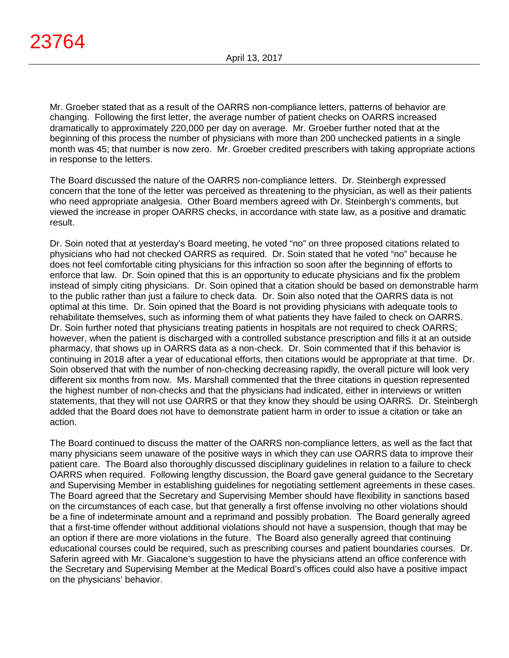Mr. Groeber stated that as a result of the OARRS non-compliance letters, patterns of behavior are changing. Following the first letter, the average number of patient checks on OARRS increased dramatically to approximately 220,000 per day on average. Mr. Groeber further noted that at the beginning of this process the number of physicians with more than 200 unchecked patients in a single month was 45; that number is now zero. Mr. Groeber credited prescribers with taking appropriate actions in response to the letters.

The Board discussed the nature of the OARRS non-compliance letters. Dr. Steinbergh expressed concern that the tone of the letter was perceived as threatening to the physician, as well as their patients who need appropriate analgesia. Other Board members agreed with Dr. Steinbergh's comments, but viewed the increase in proper OARRS checks, in accordance with state law, as a positive and dramatic result.

Dr. Soin noted that at yesterday's Board meeting, he voted "no" on three proposed citations related to physicians who had not checked OARRS as required. Dr. Soin stated that he voted "no" because he does not feel comfortable citing physicians for this infraction so soon after the beginning of efforts to enforce that law. Dr. Soin opined that this is an opportunity to educate physicians and fix the problem instead of simply citing physicians. Dr. Soin opined that a citation should be based on demonstrable harm to the public rather than just a failure to check data. Dr. Soin also noted that the OARRS data is not optimal at this time. Dr. Soin opined that the Board is not providing physicians with adequate tools to rehabilitate themselves, such as informing them of what patients they have failed to check on OARRS. Dr. Soin further noted that physicians treating patients in hospitals are not required to check OARRS; however, when the patient is discharged with a controlled substance prescription and fills it at an outside pharmacy, that shows up in OARRS data as a non-check. Dr. Soin commented that if this behavior is continuing in 2018 after a year of educational efforts, then citations would be appropriate at that time. Dr. Soin observed that with the number of non-checking decreasing rapidly, the overall picture will look very different six months from now. Ms. Marshall commented that the three citations in question represented the highest number of non-checks and that the physicians had indicated, either in interviews or written statements, that they will not use OARRS or that they know they should be using OARRS. Dr. Steinbergh added that the Board does not have to demonstrate patient harm in order to issue a citation or take an action.

The Board continued to discuss the matter of the OARRS non-compliance letters, as well as the fact that many physicians seem unaware of the positive ways in which they can use OARRS data to improve their patient care. The Board also thoroughly discussed disciplinary guidelines in relation to a failure to check OARRS when required. Following lengthy discussion, the Board gave general guidance to the Secretary and Supervising Member in establishing guidelines for negotiating settlement agreements in these cases. The Board agreed that the Secretary and Supervising Member should have flexibility in sanctions based on the circumstances of each case, but that generally a first offense involving no other violations should be a fine of indeterminate amount and a reprimand and possibly probation. The Board generally agreed that a first-time offender without additional violations should not have a suspension, though that may be an option if there are more violations in the future. The Board also generally agreed that continuing educational courses could be required, such as prescribing courses and patient boundaries courses. Dr. Saferin agreed with Mr. Giacalone's suggestion to have the physicians attend an office conference with the Secretary and Supervising Member at the Medical Board's offices could also have a positive impact on the physicians' behavior.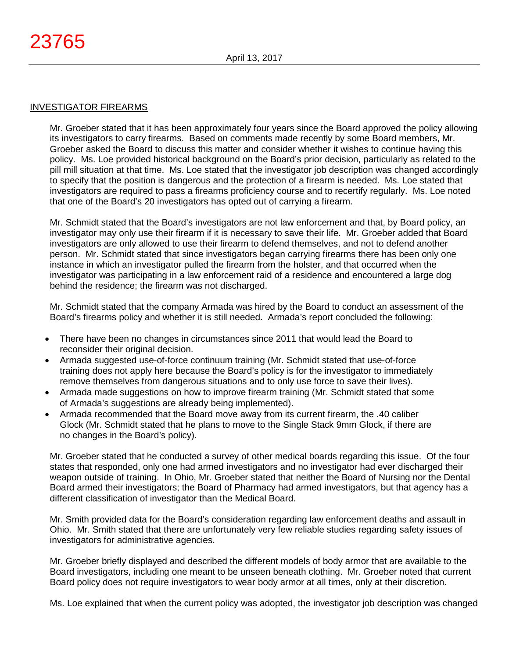### INVESTIGATOR FIREARMS

Mr. Groeber stated that it has been approximately four years since the Board approved the policy allowing its investigators to carry firearms. Based on comments made recently by some Board members, Mr. Groeber asked the Board to discuss this matter and consider whether it wishes to continue having this policy. Ms. Loe provided historical background on the Board's prior decision, particularly as related to the pill mill situation at that time. Ms. Loe stated that the investigator job description was changed accordingly to specify that the position is dangerous and the protection of a firearm is needed. Ms. Loe stated that investigators are required to pass a firearms proficiency course and to recertify regularly. Ms. Loe noted that one of the Board's 20 investigators has opted out of carrying a firearm.

Mr. Schmidt stated that the Board's investigators are not law enforcement and that, by Board policy, an investigator may only use their firearm if it is necessary to save their life. Mr. Groeber added that Board investigators are only allowed to use their firearm to defend themselves, and not to defend another person. Mr. Schmidt stated that since investigators began carrying firearms there has been only one instance in which an investigator pulled the firearm from the holster, and that occurred when the investigator was participating in a law enforcement raid of a residence and encountered a large dog behind the residence; the firearm was not discharged.

Mr. Schmidt stated that the company Armada was hired by the Board to conduct an assessment of the Board's firearms policy and whether it is still needed. Armada's report concluded the following:

- There have been no changes in circumstances since 2011 that would lead the Board to reconsider their original decision.
- Armada suggested use-of-force continuum training (Mr. Schmidt stated that use-of-force training does not apply here because the Board's policy is for the investigator to immediately remove themselves from dangerous situations and to only use force to save their lives).
- Armada made suggestions on how to improve firearm training (Mr. Schmidt stated that some of Armada's suggestions are already being implemented).
- Armada recommended that the Board move away from its current firearm, the .40 caliber Glock (Mr. Schmidt stated that he plans to move to the Single Stack 9mm Glock, if there are no changes in the Board's policy).

Mr. Groeber stated that he conducted a survey of other medical boards regarding this issue. Of the four states that responded, only one had armed investigators and no investigator had ever discharged their weapon outside of training. In Ohio, Mr. Groeber stated that neither the Board of Nursing nor the Dental Board armed their investigators; the Board of Pharmacy had armed investigators, but that agency has a different classification of investigator than the Medical Board.

Mr. Smith provided data for the Board's consideration regarding law enforcement deaths and assault in Ohio. Mr. Smith stated that there are unfortunately very few reliable studies regarding safety issues of investigators for administrative agencies.

Mr. Groeber briefly displayed and described the different models of body armor that are available to the Board investigators, including one meant to be unseen beneath clothing. Mr. Groeber noted that current Board policy does not require investigators to wear body armor at all times, only at their discretion.

Ms. Loe explained that when the current policy was adopted, the investigator job description was changed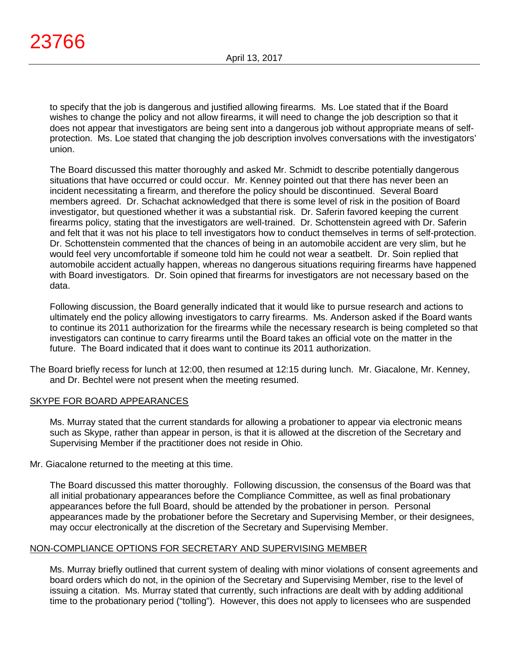to specify that the job is dangerous and justified allowing firearms. Ms. Loe stated that if the Board wishes to change the policy and not allow firearms, it will need to change the job description so that it does not appear that investigators are being sent into a dangerous job without appropriate means of selfprotection. Ms. Loe stated that changing the job description involves conversations with the investigators' union.

The Board discussed this matter thoroughly and asked Mr. Schmidt to describe potentially dangerous situations that have occurred or could occur. Mr. Kenney pointed out that there has never been an incident necessitating a firearm, and therefore the policy should be discontinued. Several Board members agreed. Dr. Schachat acknowledged that there is some level of risk in the position of Board investigator, but questioned whether it was a substantial risk. Dr. Saferin favored keeping the current firearms policy, stating that the investigators are well-trained. Dr. Schottenstein agreed with Dr. Saferin and felt that it was not his place to tell investigators how to conduct themselves in terms of self-protection. Dr. Schottenstein commented that the chances of being in an automobile accident are very slim, but he would feel very uncomfortable if someone told him he could not wear a seatbelt. Dr. Soin replied that automobile accident actually happen, whereas no dangerous situations requiring firearms have happened with Board investigators. Dr. Soin opined that firearms for investigators are not necessary based on the data.

Following discussion, the Board generally indicated that it would like to pursue research and actions to ultimately end the policy allowing investigators to carry firearms. Ms. Anderson asked if the Board wants to continue its 2011 authorization for the firearms while the necessary research is being completed so that investigators can continue to carry firearms until the Board takes an official vote on the matter in the future. The Board indicated that it does want to continue its 2011 authorization.

The Board briefly recess for lunch at 12:00, then resumed at 12:15 during lunch. Mr. Giacalone, Mr. Kenney, and Dr. Bechtel were not present when the meeting resumed.

# SKYPE FOR BOARD APPEARANCES

Ms. Murray stated that the current standards for allowing a probationer to appear via electronic means such as Skype, rather than appear in person, is that it is allowed at the discretion of the Secretary and Supervising Member if the practitioner does not reside in Ohio.

Mr. Giacalone returned to the meeting at this time.

The Board discussed this matter thoroughly. Following discussion, the consensus of the Board was that all initial probationary appearances before the Compliance Committee, as well as final probationary appearances before the full Board, should be attended by the probationer in person. Personal appearances made by the probationer before the Secretary and Supervising Member, or their designees, may occur electronically at the discretion of the Secretary and Supervising Member.

# NON-COMPLIANCE OPTIONS FOR SECRETARY AND SUPERVISING MEMBER

Ms. Murray briefly outlined that current system of dealing with minor violations of consent agreements and board orders which do not, in the opinion of the Secretary and Supervising Member, rise to the level of issuing a citation. Ms. Murray stated that currently, such infractions are dealt with by adding additional time to the probationary period ("tolling"). However, this does not apply to licensees who are suspended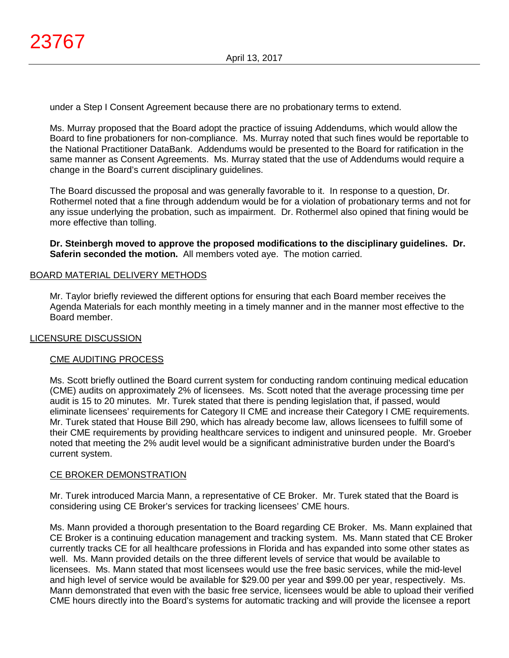under a Step I Consent Agreement because there are no probationary terms to extend.

Ms. Murray proposed that the Board adopt the practice of issuing Addendums, which would allow the Board to fine probationers for non-compliance. Ms. Murray noted that such fines would be reportable to the National Practitioner DataBank. Addendums would be presented to the Board for ratification in the same manner as Consent Agreements. Ms. Murray stated that the use of Addendums would require a change in the Board's current disciplinary guidelines.

The Board discussed the proposal and was generally favorable to it. In response to a question, Dr. Rothermel noted that a fine through addendum would be for a violation of probationary terms and not for any issue underlying the probation, such as impairment. Dr. Rothermel also opined that fining would be more effective than tolling.

**Dr. Steinbergh moved to approve the proposed modifications to the disciplinary guidelines. Dr. Saferin seconded the motion.** All members voted aye. The motion carried.

## BOARD MATERIAL DELIVERY METHODS

Mr. Taylor briefly reviewed the different options for ensuring that each Board member receives the Agenda Materials for each monthly meeting in a timely manner and in the manner most effective to the Board member.

### LICENSURE DISCUSSION

### CME AUDITING PROCESS

Ms. Scott briefly outlined the Board current system for conducting random continuing medical education (CME) audits on approximately 2% of licensees. Ms. Scott noted that the average processing time per audit is 15 to 20 minutes. Mr. Turek stated that there is pending legislation that, if passed, would eliminate licensees' requirements for Category II CME and increase their Category I CME requirements. Mr. Turek stated that House Bill 290, which has already become law, allows licensees to fulfill some of their CME requirements by providing healthcare services to indigent and uninsured people. Mr. Groeber noted that meeting the 2% audit level would be a significant administrative burden under the Board's current system.

### CE BROKER DEMONSTRATION

Mr. Turek introduced Marcia Mann, a representative of CE Broker. Mr. Turek stated that the Board is considering using CE Broker's services for tracking licensees' CME hours.

Ms. Mann provided a thorough presentation to the Board regarding CE Broker. Ms. Mann explained that CE Broker is a continuing education management and tracking system. Ms. Mann stated that CE Broker currently tracks CE for all healthcare professions in Florida and has expanded into some other states as well. Ms. Mann provided details on the three different levels of service that would be available to licensees. Ms. Mann stated that most licensees would use the free basic services, while the mid-level and high level of service would be available for \$29.00 per year and \$99.00 per year, respectively. Ms. Mann demonstrated that even with the basic free service, licensees would be able to upload their verified CME hours directly into the Board's systems for automatic tracking and will provide the licensee a report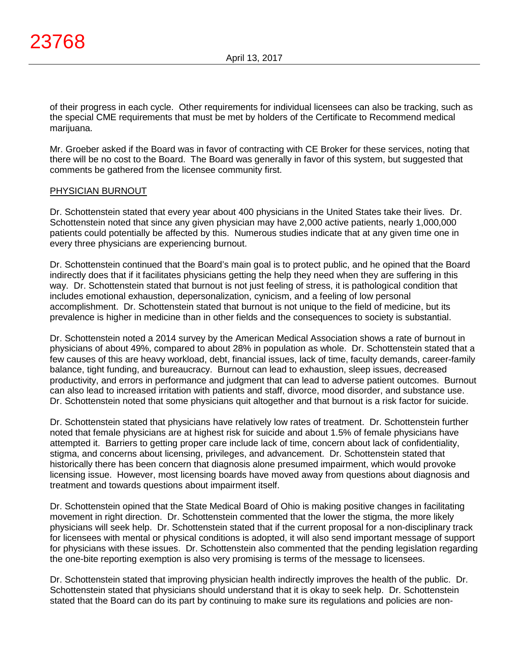of their progress in each cycle. Other requirements for individual licensees can also be tracking, such as the special CME requirements that must be met by holders of the Certificate to Recommend medical marijuana.

Mr. Groeber asked if the Board was in favor of contracting with CE Broker for these services, noting that there will be no cost to the Board. The Board was generally in favor of this system, but suggested that comments be gathered from the licensee community first.

### PHYSICIAN BURNOUT

Dr. Schottenstein stated that every year about 400 physicians in the United States take their lives. Dr. Schottenstein noted that since any given physician may have 2,000 active patients, nearly 1,000,000 patients could potentially be affected by this. Numerous studies indicate that at any given time one in every three physicians are experiencing burnout.

Dr. Schottenstein continued that the Board's main goal is to protect public, and he opined that the Board indirectly does that if it facilitates physicians getting the help they need when they are suffering in this way. Dr. Schottenstein stated that burnout is not just feeling of stress, it is pathological condition that includes emotional exhaustion, depersonalization, cynicism, and a feeling of low personal accomplishment. Dr. Schottenstein stated that burnout is not unique to the field of medicine, but its prevalence is higher in medicine than in other fields and the consequences to society is substantial.

Dr. Schottenstein noted a 2014 survey by the American Medical Association shows a rate of burnout in physicians of about 49%, compared to about 28% in population as whole. Dr. Schottenstein stated that a few causes of this are heavy workload, debt, financial issues, lack of time, faculty demands, career-family balance, tight funding, and bureaucracy. Burnout can lead to exhaustion, sleep issues, decreased productivity, and errors in performance and judgment that can lead to adverse patient outcomes. Burnout can also lead to increased irritation with patients and staff, divorce, mood disorder, and substance use. Dr. Schottenstein noted that some physicians quit altogether and that burnout is a risk factor for suicide.

Dr. Schottenstein stated that physicians have relatively low rates of treatment. Dr. Schottenstein further noted that female physicians are at highest risk for suicide and about 1.5% of female physicians have attempted it. Barriers to getting proper care include lack of time, concern about lack of confidentiality, stigma, and concerns about licensing, privileges, and advancement. Dr. Schottenstein stated that historically there has been concern that diagnosis alone presumed impairment, which would provoke licensing issue. However, most licensing boards have moved away from questions about diagnosis and treatment and towards questions about impairment itself.

Dr. Schottenstein opined that the State Medical Board of Ohio is making positive changes in facilitating movement in right direction. Dr. Schottenstein commented that the lower the stigma, the more likely physicians will seek help. Dr. Schottenstein stated that if the current proposal for a non-disciplinary track for licensees with mental or physical conditions is adopted, it will also send important message of support for physicians with these issues. Dr. Schottenstein also commented that the pending legislation regarding the one-bite reporting exemption is also very promising is terms of the message to licensees.

Dr. Schottenstein stated that improving physician health indirectly improves the health of the public. Dr. Schottenstein stated that physicians should understand that it is okay to seek help. Dr. Schottenstein stated that the Board can do its part by continuing to make sure its regulations and policies are non